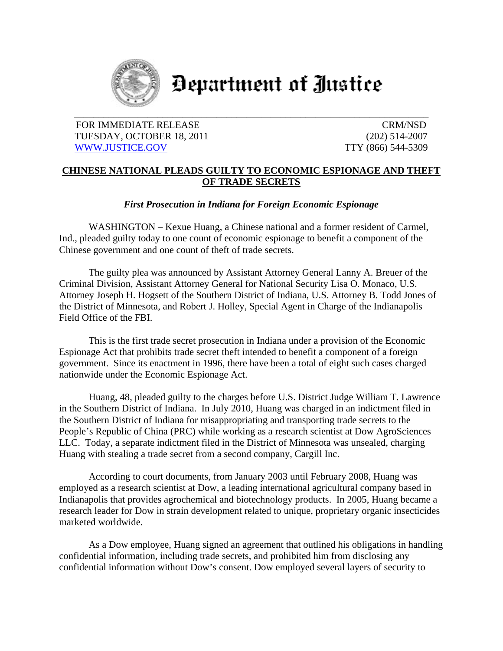

## Department of Justice

## FOR IMMEDIATE RELEASE CRM/NSD TUESDAY, OCTOBER 18, 2011 (202) 514-2007 WWW.JUSTICE.GOV TTY (866) 544-5309

## **CHINESE NATIONAL PLEADS GUILTY TO ECONOMIC ESPIONAGE AND THEFT OF TRADE SECRETS**

*First Prosecution in Indiana for Foreign Economic Espionage* 

WASHINGTON – Kexue Huang, a Chinese national and a former resident of Carmel, Ind., pleaded guilty today to one count of economic espionage to benefit a component of the Chinese government and one count of theft of trade secrets.

 The guilty plea was announced by Assistant Attorney General Lanny A. Breuer of the Criminal Division, Assistant Attorney General for National Security Lisa O. Monaco, U.S. Attorney Joseph H. Hogsett of the Southern District of Indiana, U.S. Attorney B. Todd Jones of the District of Minnesota, and Robert J. Holley, Special Agent in Charge of the Indianapolis Field Office of the FBI.

This is the first trade secret prosecution in Indiana under a provision of the Economic Espionage Act that prohibits trade secret theft intended to benefit a component of a foreign government. Since its enactment in 1996, there have been a total of eight such cases charged nationwide under the Economic Espionage Act.

 Huang, 48, pleaded guilty to the charges before U.S. District Judge William T. Lawrence in the Southern District of Indiana. In July 2010, Huang was charged in an indictment filed in the Southern District of Indiana for misappropriating and transporting trade secrets to the People's Republic of China (PRC) while working as a research scientist at Dow AgroSciences LLC. Today, a separate indictment filed in the District of Minnesota was unsealed, charging Huang with stealing a trade secret from a second company, Cargill Inc.

According to court documents, from January 2003 until February 2008, Huang was employed as a research scientist at Dow, a leading international agricultural company based in Indianapolis that provides agrochemical and biotechnology products. In 2005, Huang became a research leader for Dow in strain development related to unique, proprietary organic insecticides marketed worldwide.

 As a Dow employee, Huang signed an agreement that outlined his obligations in handling confidential information, including trade secrets, and prohibited him from disclosing any confidential information without Dow's consent. Dow employed several layers of security to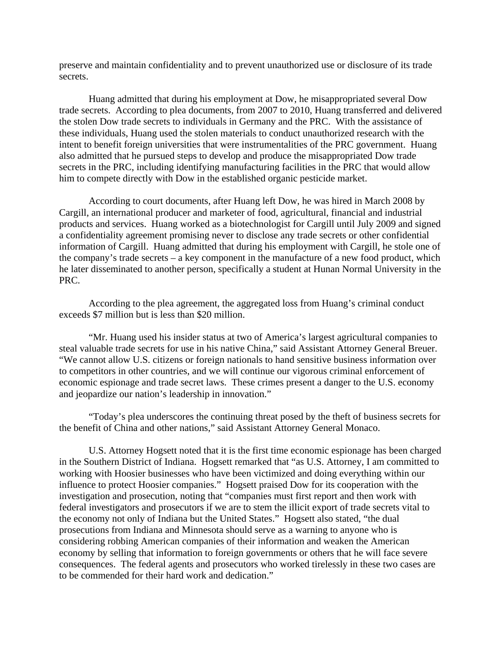preserve and maintain confidentiality and to prevent unauthorized use or disclosure of its trade secrets.

 Huang admitted that during his employment at Dow, he misappropriated several Dow trade secrets. According to plea documents, from 2007 to 2010, Huang transferred and delivered the stolen Dow trade secrets to individuals in Germany and the PRC. With the assistance of these individuals, Huang used the stolen materials to conduct unauthorized research with the intent to benefit foreign universities that were instrumentalities of the PRC government. Huang also admitted that he pursued steps to develop and produce the misappropriated Dow trade secrets in the PRC, including identifying manufacturing facilities in the PRC that would allow him to compete directly with Dow in the established organic pesticide market.

 According to court documents, after Huang left Dow, he was hired in March 2008 by Cargill, an international producer and marketer of food, agricultural, financial and industrial products and services. Huang worked as a biotechnologist for Cargill until July 2009 and signed a confidentiality agreement promising never to disclose any trade secrets or other confidential information of Cargill. Huang admitted that during his employment with Cargill, he stole one of the company's trade secrets – a key component in the manufacture of a new food product, which he later disseminated to another person, specifically a student at Hunan Normal University in the PRC.

 According to the plea agreement, the aggregated loss from Huang's criminal conduct exceeds \$7 million but is less than \$20 million.

"Mr. Huang used his insider status at two of America's largest agricultural companies to steal valuable trade secrets for use in his native China," said Assistant Attorney General Breuer. "We cannot allow U.S. citizens or foreign nationals to hand sensitive business information over to competitors in other countries, and we will continue our vigorous criminal enforcement of economic espionage and trade secret laws. These crimes present a danger to the U.S. economy and jeopardize our nation's leadership in innovation."

"Today's plea underscores the continuing threat posed by the theft of business secrets for the benefit of China and other nations," said Assistant Attorney General Monaco.

U.S. Attorney Hogsett noted that it is the first time economic espionage has been charged in the Southern District of Indiana. Hogsett remarked that "as U.S. Attorney, I am committed to working with Hoosier businesses who have been victimized and doing everything within our influence to protect Hoosier companies." Hogsett praised Dow for its cooperation with the investigation and prosecution, noting that "companies must first report and then work with federal investigators and prosecutors if we are to stem the illicit export of trade secrets vital to the economy not only of Indiana but the United States." Hogsett also stated, "the dual prosecutions from Indiana and Minnesota should serve as a warning to anyone who is considering robbing American companies of their information and weaken the American economy by selling that information to foreign governments or others that he will face severe consequences. The federal agents and prosecutors who worked tirelessly in these two cases are to be commended for their hard work and dedication."